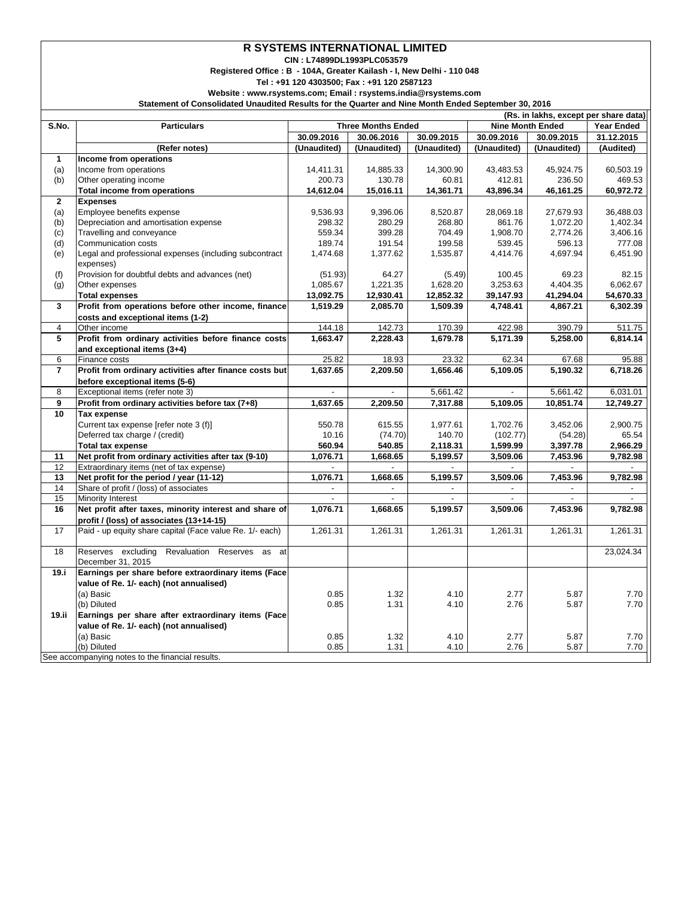### **R SYSTEMS INTERNATIONAL LIMITED**

**CIN : L74899DL1993PLC053579**

**Registered Office : B - 104A, Greater Kailash - I, New Delhi - 110 048**

**Tel : +91 120 4303500; Fax : +91 120 2587123**

**Website : www.rsystems.com; Email : rsystems.india@rsystems.com**

**Statement of Consolidated Unaudited Results for the Quarter and Nine Month Ended September 30, 2016**

|                          | (Rs. in lakhs, except per share data)                    |                                                      |                |                |                          |                             |                   |  |
|--------------------------|----------------------------------------------------------|------------------------------------------------------|----------------|----------------|--------------------------|-----------------------------|-------------------|--|
| S.No.                    | <b>Particulars</b>                                       | <b>Three Months Ended</b>                            |                |                | <b>Nine Month Ended</b>  |                             | <b>Year Ended</b> |  |
|                          |                                                          | 30.09.2016<br>30.06.2016<br>30.09.2015<br>30.09.2016 |                |                | 30.09.2015               | 31.12.2015                  |                   |  |
|                          | (Refer notes)                                            | (Unaudited)                                          | (Unaudited)    | (Unaudited)    | (Unaudited)              | (Unaudited)                 | (Audited)         |  |
| $\mathbf{1}$             | Income from operations                                   |                                                      |                |                |                          |                             |                   |  |
| (a)                      | Income from operations                                   | 14,411.31                                            | 14,885.33      | 14,300.90      | 43,483.53                | 45,924.75                   | 60,503.19         |  |
| (b)                      | Other operating income                                   | 200.73                                               | 130.78         | 60.81          | 412.81                   | 236.50                      | 469.53            |  |
|                          | <b>Total income from operations</b>                      | 14,612.04                                            | 15,016.11      | 14,361.71      | 43,896.34                | 46,161.25                   | 60,972.72         |  |
| $\overline{2}$           | <b>Expenses</b>                                          |                                                      |                |                |                          |                             |                   |  |
| (a)                      | Employee benefits expense                                | 9,536.93                                             | 9,396.06       | 8,520.87       | 28,069.18                | 27,679.93                   | 36,488.03         |  |
| (b)                      | Depreciation and amortisation expense                    | 298.32                                               | 280.29         | 268.80         | 861.76                   | 1,072.20                    | 1,402.34          |  |
| (c)                      | Travelling and conveyance                                | 559.34                                               | 399.28         | 704.49         | 1,908.70                 | 2,774.26                    | 3,406.16          |  |
| (d)                      | Communication costs                                      | 189.74                                               | 191.54         | 199.58         | 539.45                   | 596.13                      | 777.08            |  |
| (e)                      | Legal and professional expenses (including subcontract   | 1,474.68                                             | 1,377.62       | 1,535.87       | 4,414.76                 | 4,697.94                    | 6,451.90          |  |
|                          | expenses)                                                |                                                      |                |                |                          |                             |                   |  |
| (f)                      | Provision for doubtful debts and advances (net)          | (51.93)                                              | 64.27          | (5.49)         | 100.45                   | 69.23                       | 82.15             |  |
| (g)                      | Other expenses                                           | 1,085.67                                             | 1,221.35       | 1,628.20       | 3,253.63                 | 4,404.35                    | 6,062.67          |  |
|                          | <b>Total expenses</b>                                    | 13,092.75                                            | 12,930.41      | 12,852.32      | 39,147.93                | 41,294.04                   | 54,670.33         |  |
| 3                        | Profit from operations before other income, finance      | 1,519.29                                             | 2,085.70       | 1,509.39       | 4,748.41                 | 4,867.21                    | 6,302.39          |  |
|                          | costs and exceptional items (1-2)                        |                                                      |                |                |                          |                             |                   |  |
| $\overline{4}$           | Other income                                             | 144.18                                               | 142.73         | 170.39         | 422.98                   | 390.79                      | 511.75            |  |
| 5                        | Profit from ordinary activities before finance costs     | 1,663.47                                             | 2,228.43       | 1,679.78       | 5,171.39                 | 5,258.00                    | 6,814.14          |  |
|                          | and exceptional items (3+4)                              |                                                      |                |                |                          |                             |                   |  |
| 6                        | Finance costs                                            | 25.82                                                | 18.93          | 23.32          | 62.34                    | 67.68                       | 95.88             |  |
| $\overline{\phantom{a}}$ | Profit from ordinary activities after finance costs but  | 1,637.65                                             | 2,209.50       | 1,656.46       | 5,109.05                 | 5,190.32                    | 6,718.26          |  |
|                          | before exceptional items (5-6)                           |                                                      |                |                |                          |                             |                   |  |
| 8                        | Exceptional items (refer note 3)                         | $\blacksquare$                                       | $\blacksquare$ | 5,661.42       |                          | 5,661.42                    | 6,031.01          |  |
| 9                        | Profit from ordinary activities before tax (7+8)         | 1,637.65                                             | 2,209.50       | 7,317.88       | 5,109.05                 | 10,851.74                   | 12,749.27         |  |
| 10                       | Tax expense                                              |                                                      |                |                |                          |                             |                   |  |
|                          | Current tax expense [refer note 3 (f)]                   | 550.78                                               | 615.55         | 1,977.61       | 1,702.76                 | 3,452.06                    | 2,900.75          |  |
|                          | Deferred tax charge / (credit)                           | 10.16                                                | (74.70)        | 140.70         | (102.77)                 | (54.28)                     | 65.54             |  |
|                          | <b>Total tax expense</b>                                 | 560.94                                               | 540.85         | 2,118.31       | 1,599.99                 | 3,397.78                    | 2,966.29          |  |
| 11                       | Net profit from ordinary activities after tax (9-10)     | 1,076.71                                             | 1,668.65       | 5,199.57       | 3,509.06                 | 7,453.96                    | 9,782.98          |  |
| 12                       | Extraordinary items (net of tax expense)                 |                                                      | $\blacksquare$ |                |                          |                             |                   |  |
| 13                       | Net profit for the period / year (11-12)                 | 1,076.71                                             | 1,668.65       | 5,199.57       | 3,509.06                 | 7,453.96                    | 9,782.98          |  |
| 14                       | Share of profit / (loss) of associates                   | $\overline{\phantom{a}}$                             | $\blacksquare$ | $\blacksquare$ | $\overline{\phantom{a}}$ | $\mathcal{L}_{\mathcal{A}}$ | $\sim$            |  |
| 15                       | Minority Interest                                        |                                                      |                |                |                          |                             |                   |  |
| 16                       | Net profit after taxes, minority interest and share of   | 1,076.71                                             | 1,668.65       | 5,199.57       | 3,509.06                 | 7,453.96                    | 9,782.98          |  |
|                          | profit / (loss) of associates (13+14-15)                 |                                                      |                |                |                          |                             |                   |  |
| 17                       | Paid - up equity share capital (Face value Re. 1/- each) | 1,261.31                                             | 1,261.31       | 1,261.31       | 1,261.31                 | 1,261.31                    | 1,261.31          |  |
|                          |                                                          |                                                      |                |                |                          |                             |                   |  |
| 18                       | Reserves excluding Revaluation Reserves as at            |                                                      |                |                |                          |                             | 23,024.34         |  |
|                          | December 31, 2015                                        |                                                      |                |                |                          |                             |                   |  |
| 19.1                     | Earnings per share before extraordinary items (Face      |                                                      |                |                |                          |                             |                   |  |
|                          | value of Re. 1/- each) (not annualised)                  |                                                      |                |                |                          |                             |                   |  |
|                          | (a) Basic                                                | 0.85                                                 | 1.32           | 4.10           | 2.77                     | 5.87                        | 7.70              |  |
|                          | (b) Diluted                                              | 0.85                                                 | 1.31           | 4.10           | 2.76                     | 5.87                        | 7.70              |  |
| 19.ii                    | Earnings per share after extraordinary items (Face       |                                                      |                |                |                          |                             |                   |  |
|                          | value of Re. 1/- each) (not annualised)                  |                                                      |                |                |                          |                             |                   |  |
|                          | (a) Basic                                                | 0.85                                                 | 1.32           | 4.10           | 2.77                     | 5.87                        | 7.70              |  |
|                          | (b) Diluted                                              | 0.85                                                 | 1.31           | 4.10           | 2.76                     | 5.87                        | 7.70              |  |
|                          | See accompanying notes to the financial results.         |                                                      |                |                |                          |                             |                   |  |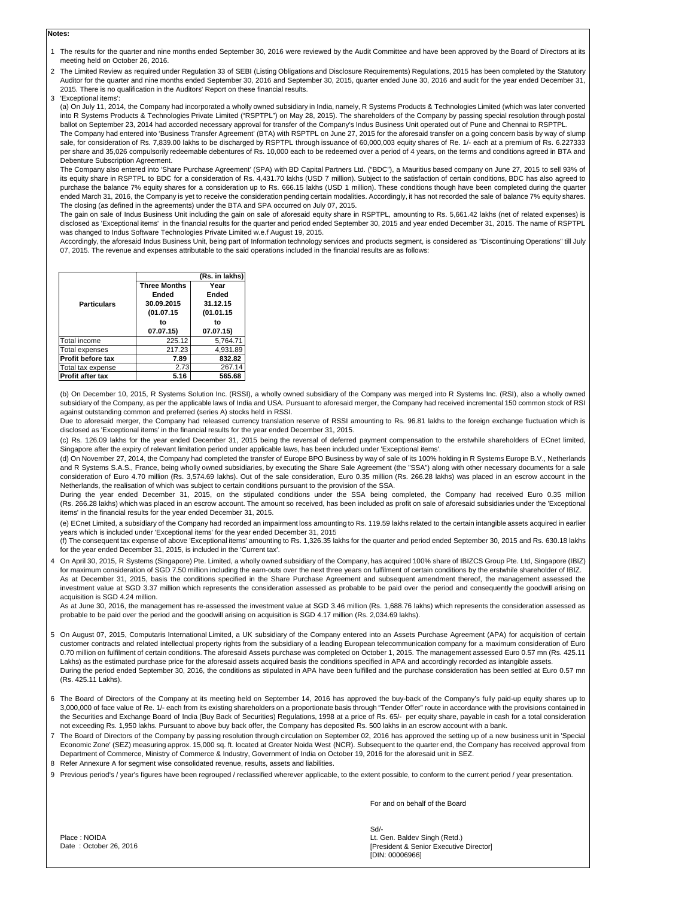#### **Notes:**

- 1 The results for the quarter and nine months ended September 30, 2016 were reviewed by the Audit Committee and have been approved by the Board of Directors at its meeting held on October 26, 2016.
- 2 The Limited Review as required under Regulation 33 of SEBI (Listing Obligations and Disclosure Requirements) Regulations, 2015 has been completed by the Statutory Auditor for the quarter and nine months ended September 30, 2016 and September 30, 2015, quarter ended June 30, 2016 and audit for the year ended December 31, 2015. There is no qualification in the Auditors' Report on these financial results.

3 'Exceptional items':

(a) On July 11, 2014, the Company had incorporated a wholly owned subsidiary in India, namely, R Systems Products & Technologies Limited (which was later converted into R Systems Products & Technologies Private Limited ("RSPTPL") on May 28, 2015). The shareholders of the Company by passing special resolution through postal ballot on September 23, 2014 had accorded necessary approval for transfer of the Company's Indus Business Unit operated out of Pune and Chennai to RSPTPL.

The Company had entered into 'Business Transfer Agreement' (BTA) with RSPTPL on June 27, 2015 for the aforesaid transfer on a going concern basis by way of slump sale, for consideration of Rs. 7,839.00 lakhs to be discharged by RSPTPL through issuance of 60,000,003 equity shares of Re. 1/- each at a premium of Rs. 6.227333 per share and 35,026 compulsorily redeemable debentures of Rs. 10,000 each to be redeemed over a period of 4 years, on the terms and conditions agreed in BTA and Debenture Subscription Agreement.

The Company also entered into 'Share Purchase Agreement' (SPA) with BD Capital Partners Ltd. ("BDC"), a Mauritius based company on June 27, 2015 to sell 93% of its equity share in RSPTPL to BDC for a consideration of Rs. 4,431.70 lakhs (USD 7 million). Subject to the satisfaction of certain conditions, BDC has also agreed to purchase the balance 7% equity shares for a consideration up to Rs. 666.15 lakhs (USD 1 million). These conditions though have been completed during the quarter ended March 31, 2016, the Company is yet to receive the consideration pending certain modalities. Accordingly, it has not recorded the sale of balance 7% equity shares. The closing (as defined in the agreements) under the BTA and SPA occurred on July 07, 2015.

The gain on sale of Indus Business Unit including the gain on sale of aforesaid equity share in RSPTPL, amounting to Rs. 5,661.42 lakhs (net of related expenses) is disclosed as 'Exceptional items' in the financial results for the quarter and period ended September 30, 2015 and year ended December 31, 2015. The name of RSPTPL was changed to Indus Software Technologies Private Limited w.e.f August 19, 2015.

Accordingly, the aforesaid Indus Business Unit, being part of Information technology services and products segment, is considered as "Discontinuing Operations" till July 07, 2015. The revenue and expenses attributable to the said operations included in the financial results are as follows:

|                         | (Rs. in lakhs)      |                             |  |  |
|-------------------------|---------------------|-----------------------------|--|--|
|                         | <b>Three Months</b> | Year                        |  |  |
|                         | Ended               | Ended                       |  |  |
| <b>Particulars</b>      | 30.09.2015          | 31.12.15<br>(01.01.15<br>to |  |  |
|                         | (01.07.15           |                             |  |  |
|                         | to                  |                             |  |  |
|                         | 07.07.15)           | 07.07.15)                   |  |  |
| Total income            | 225.12              | 5,764.71                    |  |  |
| <b>Total expenses</b>   | 217.23              | 4.931.89                    |  |  |
| Profit before tax       | 7.89                | 832.82                      |  |  |
| Total tax expense       | 2.73                | 267.14                      |  |  |
| <b>Profit after tax</b> | 5.16                | 565.68                      |  |  |

(b) On December 10, 2015, R Systems Solution Inc. (RSSI), a wholly owned subsidiary of the Company was merged into R Systems Inc. (RSI), also a wholly owned subsidiary of the Company, as per the applicable laws of India and USA. Pursuant to aforesaid merger, the Company had received incremental 150 common stock of RSI against outstanding common and preferred (series A) stocks held in RSSI.

Due to aforesaid merger, the Company had released currency translation reserve of RSSI amounting to Rs. 96.81 lakhs to the foreign exchange fluctuation which is disclosed as 'Exceptional items' in the financial results for the year ended December 31, 2015.

(c) Rs. 126.09 lakhs for the year ended December 31, 2015 being the reversal of deferred payment compensation to the erstwhile shareholders of ECnet limited, Singapore after the expiry of relevant limitation period under applicable laws, has been included under 'Exceptional items'.

(d) On November 27, 2014, the Company had completed the transfer of Europe BPO Business by way of sale of its 100% holding in R Systems Europe B.V., Netherlands and R Systems S.A.S., France, being wholly owned subsidiaries, by executing the Share Sale Agreement (the "SSA") along with other necessary documents for a sale consideration of Euro 4.70 million (Rs. 3,574.69 lakhs). Out of the sale consideration, Euro 0.35 million (Rs. 266.28 lakhs) was placed in an escrow account in the Netherlands, the realisation of which was subject to certain conditions pursuant to the provision of the SSA.

During the year ended December 31, 2015, on the stipulated conditions under the SSA being completed, the Company had received Euro 0.35 million (Rs. 266.28 lakhs) which was placed in an escrow account. The amount so received, has been included as profit on sale of aforesaid subsidiaries under the 'Exceptional items' in the financial results for the year ended December 31, 2015.

(e) ECnet Limited, a subsidiary of the Company had recorded an impairment loss amounting to Rs. 119.59 lakhs related to the certain intangible assets acquired in earlier years which is included under 'Exceptional items' for the year ended December 31, 2015

(f) The consequent tax expense of above 'Exceptional items' amounting to Rs. 1,326.35 lakhs for the quarter and period ended September 30, 2015 and Rs. 630.18 lakhs for the year ended December 31, 2015, is included in the 'Current tax'.

4 On April 30, 2015, R Systems (Singapore) Pte. Limited, a wholly owned subsidiary of the Company, has acquired 100% share of IBIZCS Group Pte. Ltd, Singapore (IBIZ) for maximum consideration of SGD 7.50 million including the earn-outs over the next three years on fulfilment of certain conditions by the erstwhile shareholder of IBIZ. As at December 31, 2015, basis the conditions specified in the Share Purchase Agreement and subsequent amendment thereof, the management assessed the investment value at SGD 3.37 million which represents the consideration assessed as probable to be paid over the period and consequently the goodwill arising on acquisition is SGD 4.24 million.

As at June 30, 2016, the management has re-assessed the investment value at SGD 3.46 million (Rs. 1,688.76 lakhs) which represents the consideration assessed as probable to be paid over the period and the goodwill arising on acquisition is SGD 4.17 million (Rs. 2,034.69 lakhs).

- 5 On August 07, 2015, Computaris International Limited, a UK subsidiary of the Company entered into an Assets Purchase Agreement (APA) for acquisition of certain customer contracts and related intellectual property rights from the subsidiary of a leading European telecommunication company for a maximum consideration of Euro 0.70 million on fulfilment of certain conditions. The aforesaid Assets purchase was completed on October 1, 2015. The management assessed Euro 0.57 mn (Rs. 425.11 Lakhs) as the estimated purchase price for the aforesaid assets acquired basis the conditions specified in APA and accordingly recorded as intangible assets. During the period ended September 30, 2016, the conditions as stipulated in APA have been fulfilled and the purchase consideration has been settled at Euro 0.57 mn (Rs. 425.11 Lakhs).
- 6 The Board of Directors of the Company at its meeting held on September 14, 2016 has approved the buy-back of the Company's fully paid-up equity shares up to 3,000,000 of face value of Re. 1/- each from its existing shareholders on a proportionate basis through "Tender Offer" route in accordance with the provisions contained in the Securities and Exchange Board of India (Buy Back of Securities) Regulations, 1998 at a price of Rs. 65/- per equity share, payable in cash for a total consideration not exceeding Rs. 1,950 lakhs. Pursuant to above buy back offer, the Company has deposited Rs. 500 lakhs in an escrow account with a bank.
- 7 The Board of Directors of the Company by passing resolution through circulation on September 02, 2016 has approved the setting up of a new business unit in 'Special Economic Zone' (SEZ) measuring approx. 15,000 sq. ft. located at Greater Noida West (NCR). Subsequent to the quarter end, the Company has received approval from Department of Commerce, Ministry of Commerce & Industry, Government of India on October 19, 2016 for the aforesaid unit in SEZ.
- 8 Refer Annexure A for segment wise consolidated revenue, results, assets and liabilities.

9 Previous period's / year's figures have been regrouped / reclassified wherever applicable, to the extent possible, to conform to the current period / year presentation.

For and on behalf of the Board

Place : NOIDA Date : October 26, 2016 Sd/- [DIN: 00006966] Lt. Gen. Baldev Singh (Retd.) [President & Senior Executive Director]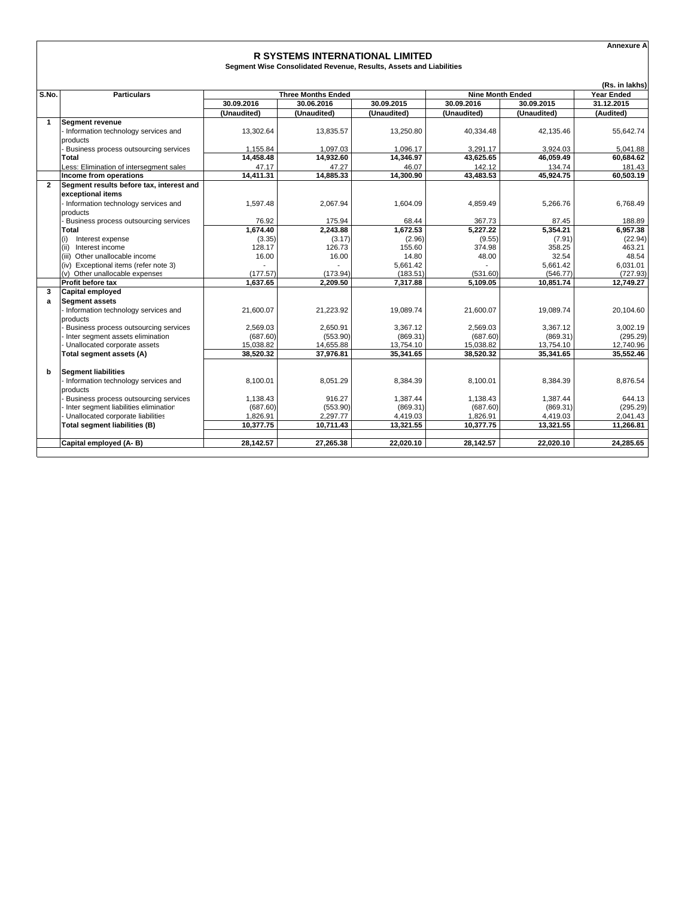**Annexure A**

### **R SYSTEMS INTERNATIONAL LIMITED**

**Segment Wise Consolidated Revenue, Results, Assets and Liabilities**

|                | (Rs. in lakhs)                           |                        |                           |             |                         |             |                        |  |
|----------------|------------------------------------------|------------------------|---------------------------|-------------|-------------------------|-------------|------------------------|--|
| S.No.          | <b>Particulars</b>                       |                        | <b>Three Months Ended</b> |             | <b>Nine Month Ended</b> |             | <b>Year Ended</b>      |  |
|                |                                          | 30.09.2016             | 30.06.2016                | 30.09.2015  | 30.09.2016              | 30.09.2015  | 31.12.2015             |  |
|                |                                          | (Unaudited)            | (Unaudited)               | (Unaudited) | (Unaudited)             | (Unaudited) | (Audited)              |  |
| $\mathbf{1}$   | Segment revenue                          |                        |                           |             |                         |             |                        |  |
|                | - Information technology services and    | 13.302.64              | 13,835.57                 | 13.250.80   | 40,334.48               | 42.135.46   | 55,642.74              |  |
|                | products                                 |                        |                           |             |                         |             |                        |  |
|                | Business process outsourcing services    | 1,155.84               | 1,097.03                  | 1,096.17    | 3,291.17                | 3,924.03    | 5,041.88               |  |
|                | Total                                    | 14,458.48              | 14,932.60                 | 14,346.97   | 43,625.65               | 46,059.49   | 60,684.62              |  |
|                | Less: Elimination of intersegment sales  | 47.17                  | 47.27                     | 46.07       | 142.12                  | 134.74      | 181.43                 |  |
|                | Income from operations                   | 14,411.31              | 14.885.33                 | 14,300.90   | 43.483.53               | 45,924.75   | 60.503.19              |  |
| $\overline{2}$ | Segment results before tax, interest and |                        |                           |             |                         |             |                        |  |
|                | exceptional items                        |                        |                           |             |                         |             |                        |  |
|                | - Information technology services and    | 1,597.48               | 2,067.94                  | 1,604.09    | 4,859.49                | 5,266.76    | 6,768.49               |  |
|                | products                                 |                        |                           |             |                         |             |                        |  |
|                | Business process outsourcing services    | 76.92                  | 175.94                    | 68.44       | 367.73                  | 87.45       | 188.89                 |  |
|                | Total                                    | 1.674.40               | 2.243.88                  | 1.672.53    | 5.227.22                | 5.354.21    | 6.957.38               |  |
|                | Interest expense                         | (3.35)                 | (3.17)                    | (2.96)      | (9.55)                  | (7.91)      | (22.94)                |  |
|                | Interest income<br>(ii)                  | 128.17                 | 126.73                    | 155.60      | 374.98                  | 358.25      | 463.21                 |  |
|                | (iii) Other unallocable income           | 16.00                  | 16.00                     | 14.80       | 48.00                   | 32.54       | 48.54                  |  |
|                | (iv) Exceptional items (refer note 3)    |                        |                           | 5.661.42    |                         | 5.661.42    | 6.031.01               |  |
|                | (v) Other unallocable expenses           | (177.57)               | (173.94)                  | (183.51)    | (531.60)                | (546.77)    | (727.93)               |  |
|                | Profit before tax                        | 1.637.65               | 2,209.50                  | 7,317.88    | 5,109.05                | 10.851.74   | 12,749.27              |  |
| 3              | <b>Capital employed</b>                  |                        |                           |             |                         |             |                        |  |
| a              | <b>Segment assets</b>                    |                        |                           |             |                         |             |                        |  |
|                | - Information technology services and    | 21,600.07              | 21,223.92                 | 19,089.74   | 21,600.07               | 19,089.74   | 20,104.60              |  |
|                | products                                 |                        |                           |             |                         |             |                        |  |
|                | Business process outsourcing services    | 2.569.03               | 2.650.91                  | 3.367.12    | 2.569.03                | 3.367.12    | 3,002.19               |  |
|                | Inter segment assets elimination         | (687.60)               | (553.90)                  | (869.31)    | (687.60)                | (869.31)    | (295.29)               |  |
|                | Unallocated corporate assets             | 15,038.82<br>38.520.32 | 14,655.88                 | 13,754.10   | 15,038.82<br>38.520.32  | 13,754.10   | 12,740.96<br>35.552.46 |  |
|                | Total segment assets (A)                 |                        | 37,976.81                 | 35,341.65   |                         | 35,341.65   |                        |  |
| b              | Seament liabilities                      |                        |                           |             |                         |             |                        |  |
|                | - Information technology services and    | 8,100.01               | 8.051.29                  | 8.384.39    | 8.100.01                | 8.384.39    | 8,876.54               |  |
|                | products                                 |                        |                           |             |                         |             |                        |  |
|                | Business process outsourcing services    | 1,138.43               | 916.27                    | 1.387.44    | 1.138.43                | 1.387.44    | 644.13                 |  |
|                | Inter segment liabilities eliminatior    | (687.60)               | (553.90)                  | (869.31)    | (687.60)                | (869.31)    | (295.29)               |  |
|                | Unallocated corporate liabilities        | 1,826.91               | 2.297.77                  | 4,419.03    | 1,826.91                | 4,419.03    | 2,041.43               |  |
|                | <b>Total segment liabilities (B)</b>     | 10,377.75              | 10,711.43                 | 13,321.55   | 10,377.75               | 13,321.55   | 11,266.81              |  |
|                |                                          |                        |                           |             |                         |             |                        |  |
|                | Capital employed (A-B)                   | 28,142.57              | 27.265.38                 | 22,020.10   | 28,142.57               | 22.020.10   | 24.285.65              |  |
|                |                                          |                        |                           |             |                         |             |                        |  |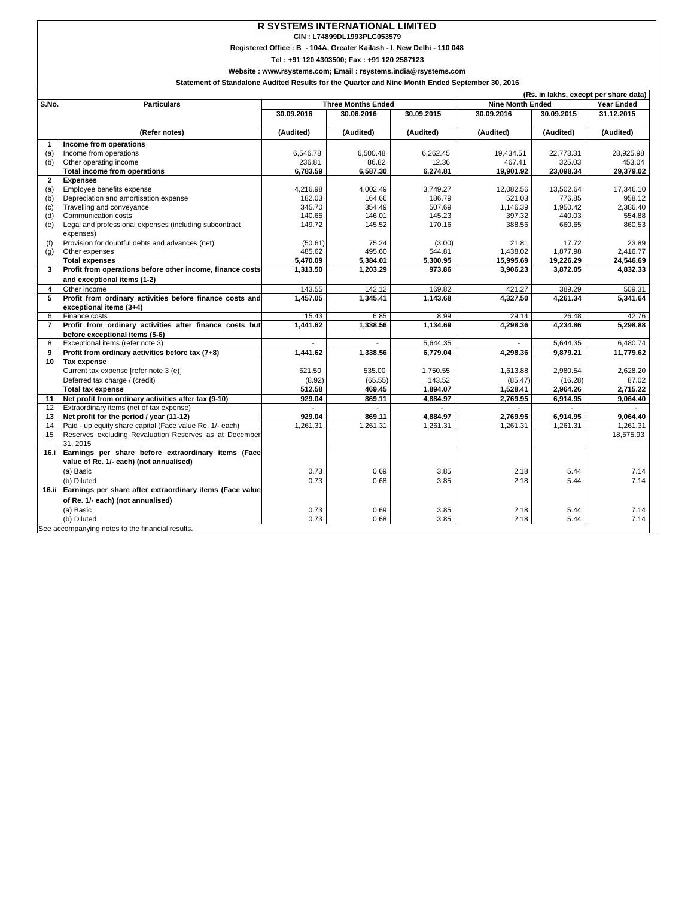# **R SYSTEMS INTERNATIONAL LIMITED**

**CIN : L74899DL1993PLC053579**

**Registered Office : B - 104A, Greater Kailash - I, New Delhi - 110 048**

**Tel : +91 120 4303500; Fax : +91 120 2587123**

**Website : www.rsystems.com; Email : rsystems.india@rsystems.com Statement of Standalone Audited Results for the Quarter and Nine Month Ended September 30, 2016**

|                | (Rs. in lakhs, except per share data)                          |                           |            |            |            |                         |            |
|----------------|----------------------------------------------------------------|---------------------------|------------|------------|------------|-------------------------|------------|
| S.No.          | <b>Particulars</b>                                             | <b>Three Months Ended</b> |            |            |            | <b>Nine Month Ended</b> |            |
|                |                                                                | 30.09.2016                | 30.06.2016 | 30.09.2015 | 30.09.2016 | 30.09.2015              | 31.12.2015 |
|                |                                                                |                           |            |            |            |                         |            |
|                | (Refer notes)                                                  | (Audited)                 | (Audited)  | (Audited)  | (Audited)  | (Audited)               | (Audited)  |
| 1              | Income from operations                                         |                           |            |            |            |                         |            |
| (a)            | Income from operations                                         | 6,546.78                  | 6,500.48   | 6,262.45   | 19,434.51  | 22,773.31               | 28,925.98  |
| (b)            | Other operating income                                         | 236.81                    | 86.82      | 12.36      | 467.41     | 325.03                  | 453.04     |
|                | Total income from operations                                   | 6.783.59                  | 6,587.30   | 6.274.81   | 19.901.92  | 23,098.34               | 29,379.02  |
| $\overline{2}$ | <b>Expenses</b>                                                |                           |            |            |            |                         |            |
| (a)            | Employee benefits expense                                      | 4,216.98                  | 4.002.49   | 3,749.27   | 12.082.56  | 13,502.64               | 17.346.10  |
| (b)            | Depreciation and amortisation expense                          | 182.03                    | 164.66     | 186.79     | 521.03     | 776.85                  | 958.12     |
| (c)            | Travelling and conveyance                                      | 345.70                    | 354.49     | 507.69     | 1,146.39   | 1,950.42                | 2.386.40   |
| (d)            | Communication costs                                            | 140.65                    | 146.01     | 145.23     | 397.32     | 440.03                  | 554.88     |
| (e)            | Legal and professional expenses (including subcontract         | 149.72                    | 145.52     | 170.16     | 388.56     | 660.65                  | 860.53     |
|                | expenses)                                                      |                           |            |            |            |                         |            |
| (f)            | Provision for doubtful debts and advances (net)                | (50.61)                   | 75.24      | (3.00)     | 21.81      | 17.72                   | 23.89      |
| (q)            | Other expenses                                                 | 485.62                    | 495.60     | 544.81     | 1,438.02   | 1,877.98                | 2.416.77   |
|                | <b>Total expenses</b>                                          | 5,470.09                  | 5,384.01   | 5,300.95   | 15,995.69  | 19,226.29               | 24,546.69  |
| 3              | Profit from operations before other income, finance costs      | 1.313.50                  | 1.203.29   | 973.86     | 3.906.23   | 3,872.05                | 4,832.33   |
|                | and exceptional items (1-2)                                    |                           |            |            |            |                         |            |
| 4              | Other income                                                   | 143.55                    | 142.12     | 169.82     | 421.27     | 389.29                  | 509.31     |
| 5              | Profit from ordinary activities before finance costs and       | 1,457.05                  | 1,345.41   | 1,143.68   | 4,327.50   | 4,261.34                | 5,341.64   |
|                | exceptional items (3+4)                                        |                           |            |            |            |                         |            |
| 6              | Finance costs                                                  | 15.43                     | 6.85       | 8.99       | 29.14      | 26.48                   | 42.76      |
| $\overline{7}$ | Profit from ordinary activities after finance costs but        | 1,441.62                  | 1,338.56   | 1,134.69   | 4,298.36   | 4,234.86                | 5,298.88   |
|                | before exceptional items (5-6)                                 |                           |            |            |            |                         |            |
| 8              | Exceptional items (refer note 3)                               |                           |            | 5,644.35   |            | 5,644.35                | 6,480.74   |
| 9              | Profit from ordinary activities before tax (7+8)               | 1,441.62                  | 1,338.56   | 6,779.04   | 4,298.36   | 9,879.21                | 11,779.62  |
| 10             | <b>Tax expense</b>                                             |                           |            |            |            |                         |            |
|                | Current tax expense [refer note 3 (e)]                         | 521.50                    | 535.00     | 1,750.55   | 1,613.88   | 2.980.54                | 2,628.20   |
|                | Deferred tax charge / (credit)                                 | (8.92)                    | (65.55)    | 143.52     | (85.47)    | (16.28)                 | 87.02      |
|                | <b>Total tax expense</b>                                       | 512.58                    | 469.45     | 1,894.07   | 1,528.41   | 2,964.26                | 2,715.22   |
| 11             | Net profit from ordinary activities after tax (9-10)           | 929.04                    | 869.11     | 4,884.97   | 2,769.95   | 6,914.95                | 9,064.40   |
| 12             | Extraordinary items (net of tax expense)                       |                           |            |            |            |                         |            |
| 13             | Net profit for the period / year (11-12)                       | 929.04                    | 869.11     | 4,884.97   | 2,769.95   | 6,914.95                | 9,064.40   |
| 14             | Paid - up equity share capital (Face value Re. 1/- each)       | 1,261.31                  | 1,261.31   | 1,261.31   | 1,261.31   | 1,261.31                | 1,261.31   |
| 15             | Reserves excluding Revaluation Reserves as at December         |                           |            |            |            |                         | 18,575.93  |
|                | 31, 2015                                                       |                           |            |            |            |                         |            |
| 16.i           | Earnings per share before extraordinary items (Face            |                           |            |            |            |                         |            |
|                | value of Re. 1/- each) (not annualised)                        |                           |            |            |            |                         |            |
|                | (a) Basic                                                      | 0.73                      | 0.69       | 3.85       | 2.18       | 5.44                    | 7.14       |
|                | (b) Diluted                                                    | 0.73                      | 0.68       | 3.85       | 2.18       | 5.44                    | 7.14       |
|                | 16.ii Earnings per share after extraordinary items (Face value |                           |            |            |            |                         |            |
|                | of Re. 1/- each) (not annualised)                              |                           |            |            |            |                         |            |
|                | (a) Basic                                                      | 0.73                      | 0.69       | 3.85       | 2.18       | 5.44                    | 7.14       |
|                | (b) Diluted                                                    | 0.73                      | 0.68       | 3.85       | 2.18       | 5.44                    | 7.14       |
|                | See accompanying notes to the financial results.               |                           |            |            |            |                         |            |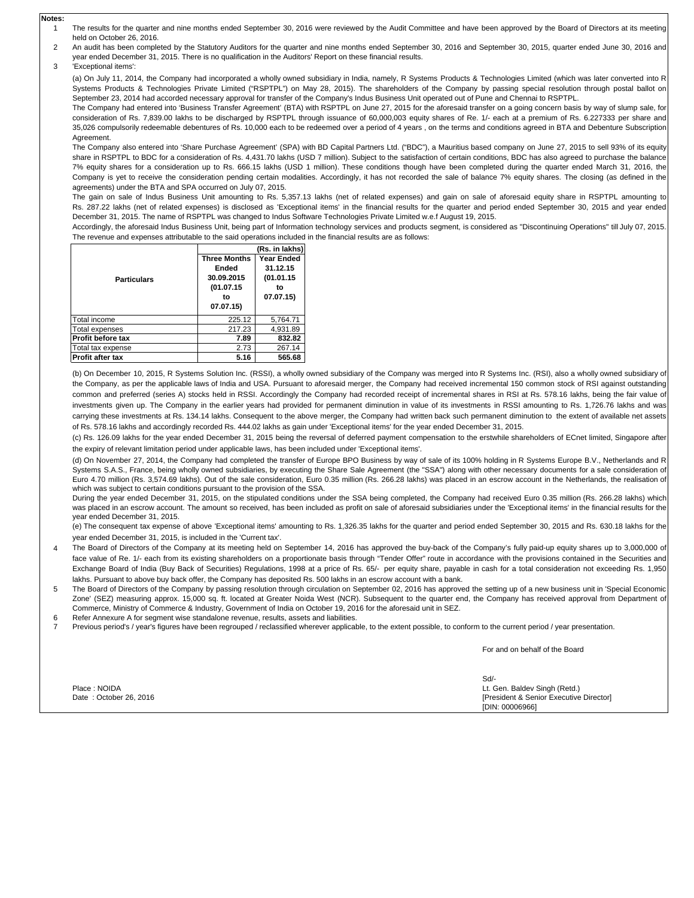**Notes:**

1 The results for the quarter and nine months ended September 30, 2016 were reviewed by the Audit Committee and have been approved by the Board of Directors at its meeting held on October 26, 2016.

2 An audit has been completed by the Statutory Auditors for the quarter and nine months ended September 30, 2016 and September 30, 2015, quarter ended June 30, 2016 and year ended December 31, 2015. There is no qualification in the Auditors' Report on these financial results.

3 'Exceptional items':

> (a) On July 11, 2014, the Company had incorporated a wholly owned subsidiary in India, namely, R Systems Products & Technologies Limited (which was later converted into R Systems Products & Technologies Private Limited ("RSPTPL") on May 28, 2015). The shareholders of the Company by passing special resolution through postal ballot on September 23, 2014 had accorded necessary approval for transfer of the Company's Indus Business Unit operated out of Pune and Chennai to RSPTPL.

> The Company had entered into 'Business Transfer Agreement' (BTA) with RSPTPL on June 27, 2015 for the aforesaid transfer on a going concern basis by way of slump sale, for consideration of Rs. 7,839.00 lakhs to be discharged by RSPTPL through issuance of 60,000,003 equity shares of Re. 1/- each at a premium of Rs. 6.227333 per share and 35,026 compulsorily redeemable debentures of Rs. 10,000 each to be redeemed over a period of 4 years , on the terms and conditions agreed in BTA and Debenture Subscription Agreement.

> The Company also entered into 'Share Purchase Agreement' (SPA) with BD Capital Partners Ltd. ("BDC"), a Mauritius based company on June 27, 2015 to sell 93% of its equity share in RSPTPL to BDC for a consideration of Rs. 4,431.70 lakhs (USD 7 million). Subject to the satisfaction of certain conditions, BDC has also agreed to purchase the balance 7% equity shares for a consideration up to Rs. 666.15 lakhs (USD 1 million). These conditions though have been completed during the quarter ended March 31, 2016, the Company is yet to receive the consideration pending certain modalities. Accordingly, it has not recorded the sale of balance 7% equity shares. The closing (as defined in the agreements) under the BTA and SPA occurred on July 07, 2015.

> The gain on sale of Indus Business Unit amounting to Rs. 5,357.13 lakhs (net of related expenses) and gain on sale of aforesaid equity share in RSPTPL amounting to Rs. 287.22 lakhs (net of related expenses) is disclosed as 'Exceptional items' in the financial results for the quarter and period ended September 30, 2015 and year ended December 31, 2015. The name of RSPTPL was changed to Indus Software Technologies Private Limited w.e.f August 19, 2015.

> Accordingly, the aforesaid Indus Business Unit, being part of Information technology services and products segment, is considered as "Discontinuing Operations" till July 07, 2015. The revenue and expenses attributable to the said operations included in the financial results are as follows:

|                          | (Rs. in lakhs)      |                                                               |  |  |
|--------------------------|---------------------|---------------------------------------------------------------|--|--|
|                          | <b>Three Months</b> | <b>Year Ended</b><br>31.12.15<br>(01.01.15<br>to<br>07.07.15) |  |  |
|                          | Ended               |                                                               |  |  |
| <b>Particulars</b>       | 30.09.2015          |                                                               |  |  |
|                          | (01.07.15)          |                                                               |  |  |
|                          | to                  |                                                               |  |  |
|                          | 07.07.15)           |                                                               |  |  |
| Total income             | 225.12              | 5,764.71                                                      |  |  |
| <b>Total expenses</b>    | 217.23              | 4,931.89                                                      |  |  |
| <b>Profit before tax</b> | 7.89                | 832.82                                                        |  |  |
| Total tax expense        | 2.73                | 267.14                                                        |  |  |
| <b>Profit after tax</b>  | 5.16                | 565.68                                                        |  |  |

(b) On December 10, 2015, R Systems Solution Inc. (RSSI), a wholly owned subsidiary of the Company was merged into R Systems Inc. (RSI), also a wholly owned subsidiary of the Company, as per the applicable laws of India and USA. Pursuant to aforesaid merger, the Company had received incremental 150 common stock of RSI against outstanding common and preferred (series A) stocks held in RSSI. Accordingly the Company had recorded receipt of incremental shares in RSI at Rs. 578.16 lakhs, being the fair value of investments given up. The Company in the earlier years had provided for permanent diminution in value of its investments in RSSI amounting to Rs. 1,726.76 lakhs and was carrying these investments at Rs. 134.14 lakhs. Consequent to the above merger, the Company had written back such permanent diminution to the extent of available net assets of Rs. 578.16 lakhs and accordingly recorded Rs. 444.02 lakhs as gain under 'Exceptional items' for the year ended December 31, 2015.

(c) Rs. 126.09 lakhs for the year ended December 31, 2015 being the reversal of deferred payment compensation to the erstwhile shareholders of ECnet limited, Singapore after the expiry of relevant limitation period under applicable laws, has been included under 'Exceptional items'.

(d) On November 27, 2014, the Company had completed the transfer of Europe BPO Business by way of sale of its 100% holding in R Systems Europe B.V., Netherlands and R Systems S.A.S., France, being wholly owned subsidiaries, by executing the Share Sale Agreement (the "SSA") along with other necessary documents for a sale consideration of Euro 4.70 million (Rs. 3,574.69 lakhs). Out of the sale consideration, Euro 0.35 million (Rs. 266.28 lakhs) was placed in an escrow account in the Netherlands, the realisation of which was subject to certain conditions pursuant to the provision of the SSA.

During the year ended December 31, 2015, on the stipulated conditions under the SSA being completed, the Company had received Euro 0.35 million (Rs. 266.28 lakhs) which was placed in an escrow account. The amount so received, has been included as profit on sale of aforesaid subsidiaries under the 'Exceptional items' in the financial results for the year ended December 31, 2015.

(e) The consequent tax expense of above 'Exceptional items' amounting to Rs. 1,326.35 lakhs for the quarter and period ended September 30, 2015 and Rs. 630.18 lakhs for the year ended December 31, 2015, is included in the 'Current tax'.

- 4 The Board of Directors of the Company at its meeting held on September 14, 2016 has approved the buy-back of the Company's fully paid-up equity shares up to 3,000,000 of face value of Re. 1/- each from its existing shareholders on a proportionate basis through "Tender Offer" route in accordance with the provisions contained in the Securities and Exchange Board of India (Buy Back of Securities) Regulations, 1998 at a price of Rs. 65/- per equity share, payable in cash for a total consideration not exceeding Rs. 1,950 lakhs. Pursuant to above buy back offer, the Company has deposited Rs. 500 lakhs in an escrow account with a bank.
- 5 The Board of Directors of the Company by passing resolution through circulation on September 02, 2016 has approved the setting up of a new business unit in 'Special Economic Zone' (SEZ) measuring approx. 15,000 sq. ft. located at Greater Noida West (NCR). Subsequent to the quarter end, the Company has received approval from Department of Commerce, Ministry of Commerce & Industry, Government of India on October 19, 2016 for the aforesaid unit in SEZ.
- 6 Refer Annexure A for segment wise standalone revenue, results, assets and liabilities.
- 7 Previous period's / year's figures have been regrouped / reclassified wherever applicable, to the extent possible, to conform to the current period / year presentation.

For and on behalf of the Board